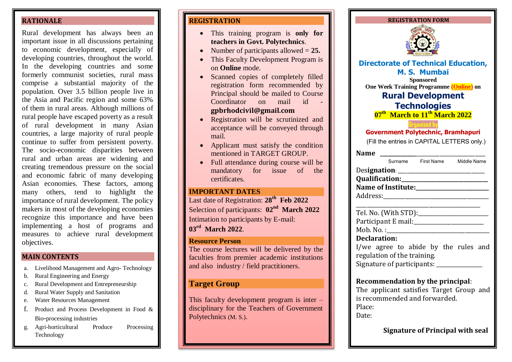#### **RATIONALE**

Rural development has always been an important issue in all discussions pertaining to economic development, especially of developing countries, throughout the world. In the developing countries and some formerly communist societies, rural mass comprise a substantial majority of the population. Over 3.5 billion people live in the Asia and Pacific region and some 63% of them in rural areas. Although millions of rural people have escaped poverty as a result of rural development in many Asian countries, a large majority of rural people continue to suffer from persistent poverty. The socio-economic disparities between rural and urban areas are widening and creating tremendous pressure on the social and economic fabric of many developing Asian economies. These factors, among many others, tend to highlight the importance of rural development. The policy makers in most of the developing economies recognize this importance and have been implementing a host of programs and measures to achieve rural development objectives.

## **MAIN CONTENTS**

- a. Livelihood Management and Agro- Technology
- b. Rural Engineering and Energy
- c. Rural Development and Entrepreneurship
- d. Rural Water Supply and Sanitation
- e. Water Resources Management
- f. Product and Process Development in Food & Bio-processing industries
- g. Agri-horticultural Produce Processing Technology

## **REGISTRATION**

- This training program is **only for teachers in Govt. Polytechnics**.
- Number of participants allowed = **25.**
- This Faculty Development Program is on **Online** mode.
- Scanned copies of completely filled registration form recommended by Principal should be mailed to Course Coordinator on mail id **gpbrhodcivi[l@gmail.com](mailto:gpbrhodcivil@gmail.com)**
- Registration will be scrutinized and acceptance will be conveyed through mail.
- Applicant must satisfy the condition mentioned in TARGET GROUP.
- Full attendance during course will be mandatory for issue of the certificates.

## **IMPORTANT DATES**

Last date of Registration: **28th Feb 2022** Selection of participants:  $02<sup>nd</sup>$  **March** 2022 Intimation to participants by E-mail: **03 rd March 2022**.

#### **Resource Person**

The course lectures will be delivered by the faculties from premier academic institutions and also industry / field practitioners.

## **Target Group**

This faculty development program is inter – disciplinary for the Teachers of Government Polytechnics (M. S.).



| The applicant satisfies Target Group and |  |  |  |
|------------------------------------------|--|--|--|
| is recommended and forwarded.            |  |  |  |
| Place:                                   |  |  |  |
| Date:                                    |  |  |  |
|                                          |  |  |  |

**Signature of Principal with seal**